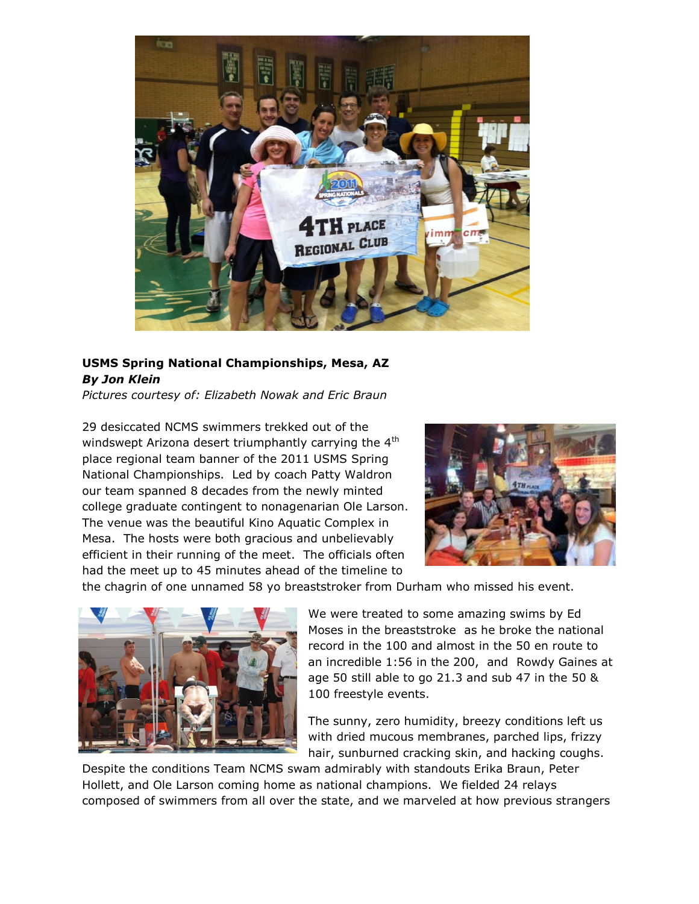

## **USMS Spring National Championships, Mesa, AZ** *By Jon Klein*

*Pictures courtesy of: Elizabeth Nowak and Eric Braun*

29 desiccated NCMS swimmers trekked out of the windswept Arizona desert triumphantly carrying the 4<sup>th</sup> place regional team banner of the 2011 USMS Spring National Championships. Led by coach Patty Waldron our team spanned 8 decades from the newly minted college graduate contingent to nonagenarian Ole Larson. The venue was the beautiful Kino Aquatic Complex in Mesa. The hosts were both gracious and unbelievably efficient in their running of the meet. The officials often had the meet up to 45 minutes ahead of the timeline to



the chagrin of one unnamed 58 yo breaststroker from Durham who missed his event.



We were treated to some amazing swims by Ed Moses in the breaststroke as he broke the national record in the 100 and almost in the 50 en route to an incredible 1:56 in the 200, and Rowdy Gaines at age 50 still able to go 21.3 and sub 47 in the 50 & 100 freestyle events.

The sunny, zero humidity, breezy conditions left us with dried mucous membranes, parched lips, frizzy hair, sunburned cracking skin, and hacking coughs.

Despite the conditions Team NCMS swam admirably with standouts Erika Braun, Peter Hollett, and Ole Larson coming home as national champions. We fielded 24 relays composed of swimmers from all over the state, and we marveled at how previous strangers